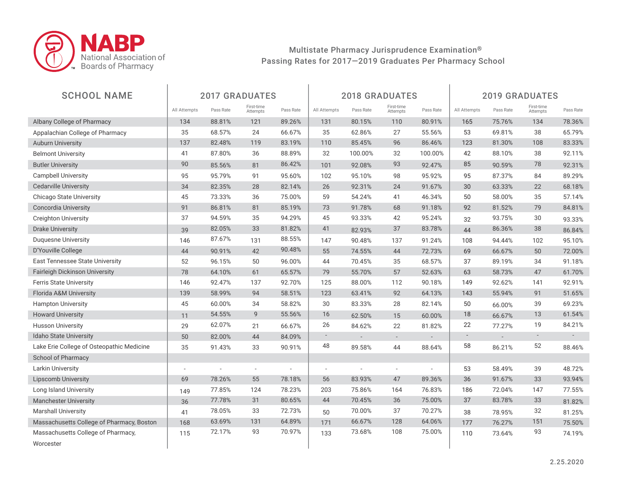

| <b>SCHOOL NAME</b>                        |                          |                          | <b>2017 GRADUATES</b>    |                          |                          | <b>2018 GRADUATES</b>       |                          |                          |                          | <b>2019 GRADUATES</b> |                        |           |
|-------------------------------------------|--------------------------|--------------------------|--------------------------|--------------------------|--------------------------|-----------------------------|--------------------------|--------------------------|--------------------------|-----------------------|------------------------|-----------|
|                                           | All Attempts             | Pass Rate                | First-time<br>Attempts   | Pass Rate                | All Attempts             | Pass Rate                   | First-time<br>Attempts   | Pass Rate                | All Attempts             | Pass Rate             | First-time<br>Attempts | Pass Rate |
| Albany College of Pharmacy                | 134                      | 88.81%                   | 121                      | 89.26%                   | 131                      | 80.15%                      | 110                      | 80.91%                   | 165                      | 75.76%                | 134                    | 78.36%    |
| Appalachian College of Pharmacy           | 35                       | 68.57%                   | 24                       | 66.67%                   | 35                       | 62.86%                      | 27                       | 55.56%                   | 53                       | 69.81%                | 38                     | 65.79%    |
| <b>Auburn University</b>                  | 137                      | 82.48%                   | 119                      | 83.19%                   | 110                      | 85.45%                      | 96                       | 86.46%                   | 123                      | 81.30%                | 108                    | 83.33%    |
| <b>Belmont University</b>                 | 41                       | 87.80%                   | 36                       | 88.89%                   | 32                       | 100.00%                     | 32                       | 100.00%                  | 42                       | 88.10%                | 38                     | 92.11%    |
| <b>Butler University</b>                  | 90                       | 85.56%                   | 81                       | 86.42%                   | 101                      | 92.08%                      | 93                       | 92.47%                   | 85                       | 90.59%                | 78                     | 92.31%    |
| <b>Campbell University</b>                | 95                       | 95.79%                   | 91                       | 95.60%                   | 102                      | 95.10%                      | 98                       | 95.92%                   | 95                       | 87.37%                | 84                     | 89.29%    |
| <b>Cedarville University</b>              | 34                       | 82.35%                   | 28                       | 82.14%                   | 26                       | 92.31%                      | 24                       | 91.67%                   | 30                       | 63.33%                | 22                     | 68.18%    |
| Chicago State University                  | 45                       | 73.33%                   | 36                       | 75.00%                   | 59                       | 54.24%                      | 41                       | 46.34%                   | 50                       | 58.00%                | 35                     | 57.14%    |
| <b>Concordia University</b>               | 91                       | 86.81%                   | 81                       | 85.19%                   | 73                       | 91.78%                      | 68                       | 91.18%                   | 92                       | 81.52%                | 79                     | 84.81%    |
| <b>Creighton University</b>               | 37                       | 94.59%                   | 35                       | 94.29%                   | 45                       | 93.33%                      | 42                       | 95.24%                   | 32                       | 93.75%                | 30                     | 93.33%    |
| <b>Drake University</b>                   | 39                       | 82.05%                   | 33                       | 81.82%                   | 41                       | 82.93%                      | 37                       | 83.78%                   | 44                       | 86.36%                | 38                     | 86.84%    |
| <b>Duquesne University</b>                | 146                      | 87.67%                   | 131                      | 88.55%                   | 147                      | 90.48%                      | 137                      | 91.24%                   | 108                      | 94.44%                | 102                    | 95.10%    |
| D'Youville College                        | 44                       | 90.91%                   | 42                       | 90.48%                   | 55                       | 74.55%                      | 44                       | 72.73%                   | 69                       | 66.67%                | 50                     | 72.00%    |
| <b>East Tennessee State University</b>    | 52                       | 96.15%                   | 50                       | 96.00%                   | 44                       | 70.45%                      | 35                       | 68.57%                   | 37                       | 89.19%                | 34                     | 91.18%    |
| <b>Fairleigh Dickinson University</b>     | 78                       | 64.10%                   | 61                       | 65.57%                   | 79                       | 55.70%                      | 57                       | 52.63%                   | 63                       | 58.73%                | 47                     | 61.70%    |
| <b>Ferris State University</b>            | 146                      | 92.47%                   | 137                      | 92.70%                   | 125                      | 88.00%                      | 112                      | 90.18%                   | 149                      | 92.62%                | 141                    | 92.91%    |
| Florida A&M University                    | 139                      | 58.99%                   | 94                       | 58.51%                   | 123                      | 63.41%                      | 92                       | 64.13%                   | 143                      | 55.94%                | 91                     | 51.65%    |
| <b>Hampton University</b>                 | 45                       | 60.00%                   | 34                       | 58.82%                   | 30                       | 83.33%                      | 28                       | 82.14%                   | 50                       | 66.00%                | 39                     | 69.23%    |
| <b>Howard University</b>                  | 11                       | 54.55%                   | 9                        | 55.56%                   | 16                       | 62.50%                      | 15                       | 60.00%                   | 18                       | 66.67%                | 13                     | 61.54%    |
| <b>Husson University</b>                  | 29                       | 62.07%                   | 21                       | 66.67%                   | 26                       | 84.62%                      | 22                       | 81.82%                   | 22                       | 77.27%                | 19                     | 84.21%    |
| <b>Idaho State University</b>             | 50                       | 82.00%                   | 44                       | 84.09%                   | $\overline{\phantom{a}}$ | $\mathcal{L}_{\mathcal{A}}$ | $\overline{\phantom{a}}$ | $\overline{a}$           | $\overline{\phantom{a}}$ | $\overline{a}$        | $\sim$                 | $\sim$    |
| Lake Erie College of Osteopathic Medicine | 35                       | 91.43%                   | 33                       | 90.91%                   | 48                       | 89.58%                      | 44                       | 88.64%                   | 58                       | 86.21%                | 52                     | 88.46%    |
| <b>School of Pharmacy</b>                 |                          |                          |                          |                          |                          |                             |                          |                          |                          |                       |                        |           |
| Larkin University                         | $\overline{\phantom{a}}$ | $\overline{\phantom{a}}$ | $\overline{\phantom{a}}$ | $\overline{\phantom{a}}$ | $\overline{\phantom{a}}$ | $\overline{\phantom{a}}$    | $\overline{\phantom{a}}$ | $\overline{\phantom{a}}$ | 53                       | 58.49%                | 39                     | 48.72%    |
| <b>Lipscomb University</b>                | 69                       | 78.26%                   | 55                       | 78.18%                   | 56                       | 83.93%                      | 47                       | 89.36%                   | 36                       | 91.67%                | 33                     | 93.94%    |
| Long Island University                    | 149                      | 77.85%                   | 124                      | 78.23%                   | 203                      | 75.86%                      | 164                      | 76.83%                   | 186                      | 72.04%                | 147                    | 77.55%    |
| <b>Manchester University</b>              | 36                       | 77.78%                   | 31                       | 80.65%                   | 44                       | 70.45%                      | 36                       | 75.00%                   | 37                       | 83.78%                | 33                     | 81.82%    |
| <b>Marshall University</b>                | 41                       | 78.05%                   | 33                       | 72.73%                   | 50                       | 70.00%                      | 37                       | 70.27%                   | 38                       | 78.95%                | 32                     | 81.25%    |
| Massachusetts College of Pharmacy, Boston | 168                      | 63.69%                   | 131                      | 64.89%                   | 171                      | 66.67%                      | 128                      | 64.06%                   | 177                      | 76.27%                | 151                    | 75.50%    |
| Massachusetts College of Pharmacy,        | 115                      | 72.17%                   | 93                       | 70.97%                   | 133                      | 73.68%                      | 108                      | 75.00%                   | 110                      | 73.64%                | 93                     | 74.19%    |
| Worcester                                 |                          |                          |                          |                          |                          |                             |                          |                          |                          |                       |                        |           |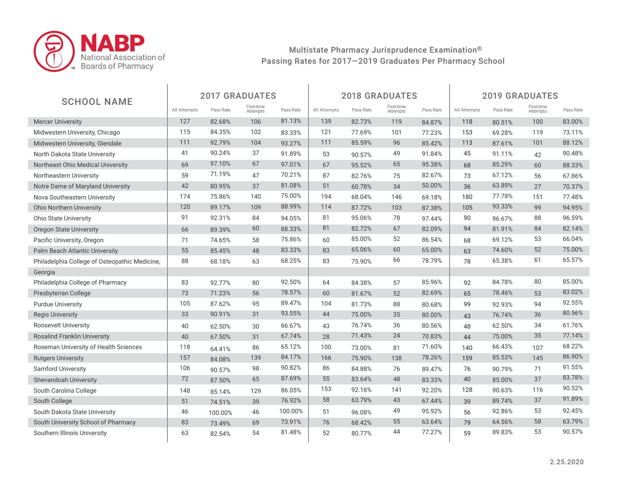

|                                               |              |           | <b>2017 GRADUATES</b>  |           |              |           | <b>2018 GRADUATES</b>  |           | <b>2019 GRADUATES</b> |           |                        |           |  |
|-----------------------------------------------|--------------|-----------|------------------------|-----------|--------------|-----------|------------------------|-----------|-----------------------|-----------|------------------------|-----------|--|
| <b>SCHOOL NAME</b>                            | All Attempts | Pass Rate | First-time<br>Attempts | Pass Rate | All Attempts | Pass Rate | First-time<br>Attempts | Pass Rate | All Attempts          | Pass Rate | First-time<br>Attempts | Pass Rate |  |
| <b>Mercer University</b>                      | 127          | 82.68%    | 106                    | 81.13%    | 139          | 82.73%    | 119                    | 84.87%    | 118                   | 80.51%    | 100                    | 83.00%    |  |
| Midwestern University, Chicago                | 115          | 84.35%    | 102                    | 83.33%    | 121          | 77.69%    | 101                    | 77.23%    | 153                   | 69.28%    | 119                    | 73.11%    |  |
| Midwestern University, Glendale               | 111          | 92.79%    | 104                    | 93.27%    | 111          | 85.59%    | 96                     | 85.42%    | 113                   | 87.61%    | 101                    | 88.12%    |  |
| North Dakota State University                 | 41           | 90.24%    | 37                     | 91.89%    | 53           | 90.57%    | 49                     | 91.84%    | 45                    | 91.11%    | 42                     | 90.48%    |  |
| Northeast Ohio Medical University             | 69           | 97.10%    | 67                     | 97.01%    | 67           | 95.52%    | 65                     | 95.38%    | 68                    | 85.29%    | 60                     | 88.33%    |  |
| Northeastern University                       | 59           | 71.19%    | 47                     | 70.21%    | 87           | 82.76%    | 75                     | 82.67%    | 73                    | 67.12%    | 56                     | 67.86%    |  |
| Notre Dame of Maryland University             | 42           | 80.95%    | 37                     | 81.08%    | 51           | 60.78%    | 34                     | 50.00%    | 36                    | 63.89%    | 27                     | 70.37%    |  |
| Nova Southeastern University                  | 174          | 75.86%    | 140                    | 75.00%    | 194          | 68.04%    | 146                    | 69.18%    | 180                   | 77.78%    | 151                    | 77.48%    |  |
| <b>Ohio Northern University</b>               | 120          | 89.17%    | 109                    | 88.99%    | 114          | 87.72%    | 103                    | 87.38%    | 105                   | 93.33%    | 99                     | 94.95%    |  |
| <b>Ohio State University</b>                  | 91           | 92.31%    | 84                     | 94.05%    | 81           | 95.06%    | 78                     | 97.44%    | 90                    | 96.67%    | 88                     | 96.59%    |  |
| <b>Oregon State University</b>                | 66           | 89.39%    | 60                     | 88.33%    | 81           | 82.72%    | 67                     | 82.09%    | 94                    | 81.91%    | 84                     | 82.14%    |  |
| Pacific University, Oregon                    | 71           | 74.65%    | 58                     | 75.86%    | 60           | 85.00%    | 52                     | 86.54%    | 68                    | 69.12%    | 53                     | 66.04%    |  |
| Palm Beach Atlantic University                | 55           | 85.45%    | 48                     | 83.33%    | 83           | 65.06%    | 60                     | 65.00%    | 63                    | 74.60%    | 52                     | 75.00%    |  |
| Philadelphia College of Osteopathic Medicine, | 88           | 68.18%    | 63                     | 68.25%    | 83           | 75.90%    | 66                     | 78.79%    | 78                    | 65.38%    | 61                     | 65.57%    |  |
| Georgia                                       |              |           |                        |           |              |           |                        |           |                       |           |                        |           |  |
| Philadelphia College of Pharmacy              | 83           | 92.77%    | 80                     | 92.50%    | 64           | 84.38%    | 57                     | 85.96%    | 92                    | 84.78%    | 80                     | 85.00%    |  |
| Presbyterian College                          | 73           | 71.23%    | 56                     | 78.57%    | 60           | 81.67%    | 52                     | 82.69%    | 65                    | 78.46%    | 53                     | 83.02%    |  |
| <b>Purdue University</b>                      | 105          | 87.62%    | 95                     | 89.47%    | 104          | 81.73%    | 88                     | 80.68%    | 99                    | 92.93%    | 94                     | 92.55%    |  |
| <b>Regis University</b>                       | 33           | 90.91%    | 31                     | 93.55%    | 44           | 75.00%    | 35                     | 80.00%    | 43                    | 76.74%    | 36                     | 80.56%    |  |
| Roosevelt University                          | 40           | 62.50%    | 30                     | 66.67%    | 43           | 76.74%    | 36                     | 80.56%    | 48                    | 62.50%    | 34                     | 61.76%    |  |
| <b>Rosalind Franklin University</b>           | 40           | 67.50%    | 31                     | 67.74%    | 28           | 71.43%    | 24                     | 70.83%    | 44                    | 75.00%    | 35                     | 77.14%    |  |
| Roseman University of Health Sciences         | 118          | 64.41%    | 86                     | 65.12%    | 100          | 73.00%    | 81                     | 71.60%    | 140                   | 66.43%    | 107                    | 68.22%    |  |
| <b>Rutgers University</b>                     | 157          | 84.08%    | 139                    | 84.17%    | 166          | 75.90%    | 138                    | 78.26%    | 159                   | 85.53%    | 145                    | 86.90%    |  |
| <b>Samford University</b>                     | 106          | 90.57%    | 98                     | 90.82%    | 86           | 84.88%    | 76                     | 89.47%    | 76                    | 90.79%    | 71                     | 91.55%    |  |
| Shenandoah University                         | 72           | 87.50%    | 65                     | 87.69%    | 55           | 83.64%    | 48                     | 83.33%    | 40                    | 85.00%    | 37                     | 83.78%    |  |
| South Carolina College                        | 148          | 85.14%    | 129                    | 86.05%    | 153          | 92.16%    | 141                    | 92.20%    | 128                   | 90.63%    | 116                    | 90.52%    |  |
| South College                                 | 51           | 74.51%    | 39                     | 76.92%    | 58           | 63.79%    | 43                     | 67.44%    | 39                    | 89.74%    | 37                     | 91.89%    |  |
| South Dakota State University                 | 46           | 100.00%   | 46                     | 100.00%   | 51           | 96.08%    | 49                     | 95.92%    | 56                    | 92.86%    | 53                     | 92.45%    |  |
| South University School of Pharmacy           | 83           | 73.49%    | 69                     | 73.91%    | 76           | 68.42%    | 55                     | 63.64%    | 79                    | 64.56%    | 58                     | 63.79%    |  |
| Southern Illinois University                  | 63           | 82.54%    | 54                     | 81.48%    | 52           | 80.77%    | 44                     | 77.27%    | 59                    | 89.83%    | 53                     | 90.57%    |  |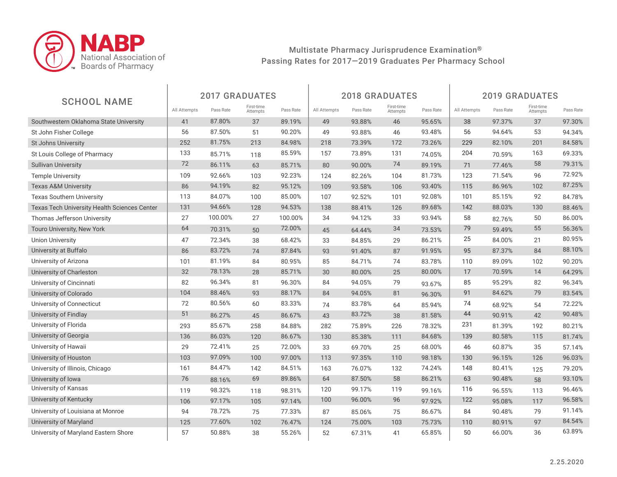

| <b>SCHOOL NAME</b>                           |              |           | <b>2017 GRADUATES</b>  |           |              |           | <b>2018 GRADUATES</b>  |           | <b>2019 GRADUATES</b> |           |                        |           |
|----------------------------------------------|--------------|-----------|------------------------|-----------|--------------|-----------|------------------------|-----------|-----------------------|-----------|------------------------|-----------|
|                                              | All Attempts | Pass Rate | First-time<br>Attempts | Pass Rate | All Attempts | Pass Rate | First-time<br>Attempts | Pass Rate | All Attempts          | Pass Rate | First-time<br>Attempts | Pass Rate |
| Southwestern Oklahoma State University       | 41           | 87.80%    | 37                     | 89.19%    | 49           | 93.88%    | 46                     | 95.65%    | 38                    | 97.37%    | 37                     | 97.30%    |
| St John Fisher College                       | 56           | 87.50%    | 51                     | 90.20%    | 49           | 93.88%    | 46                     | 93.48%    | 56                    | 94.64%    | 53                     | 94.34%    |
| <b>St Johns University</b>                   | 252          | 81.75%    | 213                    | 84.98%    | 218          | 73.39%    | 172                    | 73.26%    | 229                   | 82.10%    | 201                    | 84.58%    |
| St Louis College of Pharmacy                 | 133          | 85.71%    | 118                    | 85.59%    | 157          | 73.89%    | 131                    | 74.05%    | 204                   | 70.59%    | 163                    | 69.33%    |
| <b>Sullivan University</b>                   | 72           | 86.11%    | 63                     | 85.71%    | 80           | 90.00%    | 74                     | 89.19%    | 71                    | 77.46%    | 58                     | 79.31%    |
| <b>Temple University</b>                     | 109          | 92.66%    | 103                    | 92.23%    | 124          | 82.26%    | 104                    | 81.73%    | 123                   | 71.54%    | 96                     | 72.92%    |
| <b>Texas A&amp;M University</b>              | 86           | 94.19%    | 82                     | 95.12%    | 109          | 93.58%    | 106                    | 93.40%    | 115                   | 86.96%    | 102                    | 87.25%    |
| <b>Texas Southern University</b>             | 113          | 84.07%    | 100                    | 85.00%    | 107          | 92.52%    | 101                    | 92.08%    | 101                   | 85.15%    | 92                     | 84.78%    |
| Texas Tech University Health Sciences Center | 131          | 94.66%    | 128                    | 94.53%    | 138          | 88.41%    | 126                    | 89.68%    | 142                   | 88.03%    | 130                    | 88.46%    |
| Thomas Jefferson University                  | 27           | 100.00%   | 27                     | 100.00%   | 34           | 94.12%    | 33                     | 93.94%    | 58                    | 82.76%    | 50                     | 86.00%    |
| <b>Touro University, New York</b>            | 64           | 70.31%    | 50                     | 72.00%    | 45           | 64.44%    | 34                     | 73.53%    | 79                    | 59.49%    | 55                     | 56.36%    |
| <b>Union University</b>                      | 47           | 72.34%    | 38                     | 68.42%    | 33           | 84.85%    | 29                     | 86.21%    | 25                    | 84.00%    | 21                     | 80.95%    |
| University at Buffalo                        | 86           | 83.72%    | 74                     | 87.84%    | 93           | 91.40%    | 87                     | 91.95%    | 95                    | 87.37%    | 84                     | 88.10%    |
| University of Arizona                        | 101          | 81.19%    | 84                     | 80.95%    | 85           | 84.71%    | 74                     | 83.78%    | 110                   | 89.09%    | 102                    | 90.20%    |
| University of Charleston                     | 32           | 78.13%    | 28                     | 85.71%    | 30           | 80.00%    | 25                     | 80.00%    | 17                    | 70.59%    | 14                     | 64.29%    |
| University of Cincinnati                     | 82           | 96.34%    | 81                     | 96.30%    | 84           | 94.05%    | 79                     | 93.67%    | 85                    | 95.29%    | 82                     | 96.34%    |
| University of Colorado                       | 104          | 88.46%    | 93                     | 88.17%    | 84           | 94.05%    | 81                     | 96.30%    | 91                    | 84.62%    | 79                     | 83.54%    |
| University of Connecticut                    | 72           | 80.56%    | 60                     | 83.33%    | 74           | 83.78%    | 64                     | 85.94%    | 74                    | 68.92%    | 54                     | 72.22%    |
| University of Findlay                        | 51           | 86.27%    | 45                     | 86.67%    | 43           | 83.72%    | 38                     | 81.58%    | 44                    | 90.91%    | 42                     | 90.48%    |
| University of Florida                        | 293          | 85.67%    | 258                    | 84.88%    | 282          | 75.89%    | 226                    | 78.32%    | 231                   | 81.39%    | 192                    | 80.21%    |
| University of Georgia                        | 136          | 86.03%    | 120                    | 86.67%    | 130          | 85.38%    | 111                    | 84.68%    | 139                   | 80.58%    | 115                    | 81.74%    |
| University of Hawaii                         | 29           | 72.41%    | 25                     | 72.00%    | 33           | 69.70%    | 25                     | 68.00%    | 46                    | 60.87%    | 35                     | 57.14%    |
| University of Houston                        | 103          | 97.09%    | 100                    | 97.00%    | 113          | 97.35%    | 110                    | 98.18%    | 130                   | 96.15%    | 126                    | 96.03%    |
| University of Illinois, Chicago              | 161          | 84.47%    | 142                    | 84.51%    | 163          | 76.07%    | 132                    | 74.24%    | 148                   | 80.41%    | 125                    | 79.20%    |
| University of Iowa                           | 76           | 88.16%    | 69                     | 89.86%    | 64           | 87.50%    | 58                     | 86.21%    | 63                    | 90.48%    | 58                     | 93.10%    |
| University of Kansas                         | 119          | 98.32%    | 118                    | 98.31%    | 120          | 99.17%    | 119                    | 99.16%    | 116                   | 96.55%    | 113                    | 96.46%    |
| University of Kentucky                       | 106          | 97.17%    | 105                    | 97.14%    | 100          | 96.00%    | 96                     | 97.92%    | 122                   | 95.08%    | 117                    | 96.58%    |
| University of Louisiana at Monroe            | 94           | 78.72%    | 75                     | 77.33%    | 87           | 85.06%    | 75                     | 86.67%    | 84                    | 90.48%    | 79                     | 91.14%    |
| University of Maryland                       | 125          | 77.60%    | 102                    | 76.47%    | 124          | 75.00%    | 103                    | 75.73%    | 110                   | 80.91%    | 97                     | 84.54%    |
| University of Maryland Eastern Shore         | 57           | 50.88%    | 38                     | 55.26%    | 52           | 67.31%    | 41                     | 65.85%    | 50                    | 66.00%    | 36                     | 63.89%    |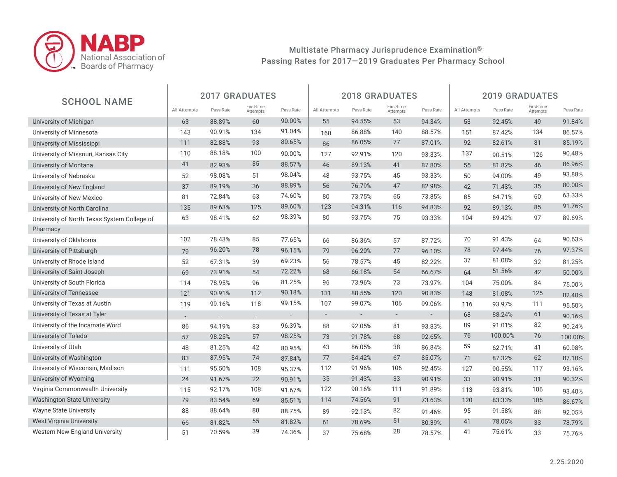

|                                             |                          |                          | <b>2017 GRADUATES</b>  |                          |                          |                          | <b>2018 GRADUATES</b>    |                | <b>2019 GRADUATES</b> |           |                        |           |  |
|---------------------------------------------|--------------------------|--------------------------|------------------------|--------------------------|--------------------------|--------------------------|--------------------------|----------------|-----------------------|-----------|------------------------|-----------|--|
| <b>SCHOOL NAME</b>                          | All Attempts             | Pass Rate                | First-time<br>Attempts | Pass Rate                | All Attempts             | Pass Rate                | First-time<br>Attempts   | Pass Rate      | All Attempts          | Pass Rate | First-time<br>Attempts | Pass Rate |  |
| University of Michigan                      | 63                       | 88.89%                   | 60                     | 90.00%                   | 55                       | 94.55%                   | 53                       | 94.34%         | 53                    | 92.45%    | 49                     | 91.84%    |  |
| University of Minnesota                     | 143                      | 90.91%                   | 134                    | 91.04%                   | 160                      | 86.88%                   | 140                      | 88.57%         | 151                   | 87.42%    | 134                    | 86.57%    |  |
| University of Mississippi                   | 111                      | 82.88%                   | 93                     | 80.65%                   | 86                       | 86.05%                   | 77                       | 87.01%         | 92                    | 82.61%    | 81                     | 85.19%    |  |
| University of Missouri, Kansas City         | 110                      | 88.18%                   | 100                    | 90.00%                   | 127                      | 92.91%                   | 120                      | 93.33%         | 137                   | 90.51%    | 126                    | 90.48%    |  |
| University of Montana                       | 41                       | 82.93%                   | 35                     | 88.57%                   | 46                       | 89.13%                   | 41                       | 87.80%         | 55                    | 81.82%    | 46                     | 86.96%    |  |
| University of Nebraska                      | 52                       | 98.08%                   | 51                     | 98.04%                   | 48                       | 93.75%                   | 45                       | 93.33%         | 50                    | 94.00%    | 49                     | 93.88%    |  |
| University of New England                   | 37                       | 89.19%                   | 36                     | 88.89%                   | 56                       | 76.79%                   | 47                       | 82.98%         | 42                    | 71.43%    | 35                     | 80.00%    |  |
| University of New Mexico                    | 81                       | 72.84%                   | 63                     | 74.60%                   | 80                       | 73.75%                   | 65                       | 73.85%         | 85                    | 64.71%    | 60                     | 63.33%    |  |
| University of North Carolina                | 135                      | 89.63%                   | 125                    | 89.60%                   | 123                      | 94.31%                   | 116                      | 94.83%         | 92                    | 89.13%    | 85                     | 91.76%    |  |
| University of North Texas System College of | 63                       | 98.41%                   | 62                     | 98.39%                   | 80                       | 93.75%                   | 75                       | 93.33%         | 104                   | 89.42%    | 97                     | 89.69%    |  |
| Pharmacy                                    |                          |                          |                        |                          |                          |                          |                          |                |                       |           |                        |           |  |
| University of Oklahoma                      | 102                      | 78.43%                   | 85                     | 77.65%                   | 66                       | 86.36%                   | 57                       | 87.72%         | 70                    | 91.43%    | 64                     | 90.63%    |  |
| University of Pittsburgh                    | 79                       | 96.20%                   | 78                     | 96.15%                   | 79                       | 96.20%                   | 77                       | 96.10%         | 78                    | 97.44%    | 76                     | 97.37%    |  |
| University of Rhode Island                  | 52                       | 67.31%                   | 39                     | 69.23%                   | 56                       | 78.57%                   | 45                       | 82.22%         | 37                    | 81.08%    | 32                     | 81.25%    |  |
| University of Saint Joseph                  | 69                       | 73.91%                   | 54                     | 72.22%                   | 68                       | 66.18%                   | 54                       | 66.67%         | 64                    | 51.56%    | 42                     | 50.00%    |  |
| University of South Florida                 | 114                      | 78.95%                   | 96                     | 81.25%                   | 96                       | 73.96%                   | 73                       | 73.97%         | 104                   | 75.00%    | 84                     | 75.00%    |  |
| University of Tennessee                     | 121                      | 90.91%                   | 112                    | 90.18%                   | 131                      | 88.55%                   | 120                      | 90.83%         | 148                   | 81.08%    | 125                    | 82.40%    |  |
| University of Texas at Austin               | 119                      | 99.16%                   | 118                    | 99.15%                   | 107                      | 99.07%                   | 106                      | 99.06%         | 116                   | 93.97%    | 111                    | 95.50%    |  |
| University of Texas at Tyler                | $\overline{\phantom{a}}$ | $\overline{\phantom{a}}$ | $\sim$                 | $\overline{\phantom{a}}$ | $\overline{\phantom{a}}$ | $\overline{\phantom{a}}$ | $\overline{\phantom{a}}$ | $\overline{a}$ | 68                    | 88.24%    | 61                     | 90.16%    |  |
| University of the Incarnate Word            | 86                       | 94.19%                   | 83                     | 96.39%                   | 88                       | 92.05%                   | 81                       | 93.83%         | 89                    | 91.01%    | 82                     | 90.24%    |  |
| University of Toledo                        | 57                       | 98.25%                   | 57                     | 98.25%                   | 73                       | 91.78%                   | 68                       | 92.65%         | 76                    | 100.00%   | 76                     | 100.00%   |  |
| University of Utah                          | 48                       | 81.25%                   | 42                     | 80.95%                   | 43                       | 86.05%                   | 38                       | 86.84%         | 59                    | 62.71%    | 41                     | 60.98%    |  |
| University of Washington                    | 83                       | 87.95%                   | 74                     | 87.84%                   | 77                       | 84.42%                   | 67                       | 85.07%         | 71                    | 87.32%    | 62                     | 87.10%    |  |
| University of Wisconsin, Madison            | 111                      | 95.50%                   | 108                    | 95.37%                   | 112                      | 91.96%                   | 106                      | 92.45%         | 127                   | 90.55%    | 117                    | 93.16%    |  |
| University of Wyoming                       | 24                       | 91.67%                   | 22                     | 90.91%                   | 35                       | 91.43%                   | 33                       | 90.91%         | 33                    | 90.91%    | 31                     | 90.32%    |  |
| Virginia Commonwealth University            | 115                      | 92.17%                   | 108                    | 91.67%                   | 122                      | 90.16%                   | 111                      | 91.89%         | 113                   | 93.81%    | 106                    | 93.40%    |  |
| <b>Washington State University</b>          | 79                       | 83.54%                   | 69                     | 85.51%                   | 114                      | 74.56%                   | 91                       | 73.63%         | 120                   | 83.33%    | 105                    | 86.67%    |  |
| Wayne State University                      | 88                       | 88.64%                   | 80                     | 88.75%                   | 89                       | 92.13%                   | 82                       | 91.46%         | 95                    | 91.58%    | 88                     | 92.05%    |  |
| <b>West Virginia University</b>             | 66                       | 81.82%                   | 55                     | 81.82%                   | 61                       | 78.69%                   | 51                       | 80.39%         | 41                    | 78.05%    | 33                     | 78.79%    |  |
| Western New England University              | 51                       | 70.59%                   | 39                     | 74.36%                   | 37                       | 75.68%                   | 28                       | 78.57%         | 41                    | 75.61%    | 33                     | 75.76%    |  |